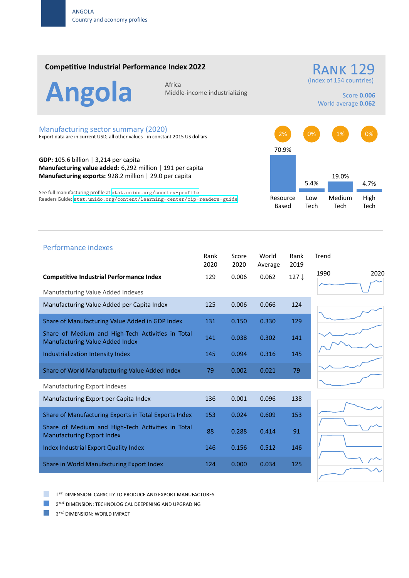## **Competitive Industrial Performance Index 2022**

Angola Africa

Middle‐income industrializing

(index of 154 countries)

**RANK 129** 

Score **0.006** World average **0.062**

## Manufacturing sector summary (2020)

Export data are in current USD, all other values ‐ in constant 2015 US dollars

**GDP:** 105.6 billion | 3,214 per capita **Manufacturing value added:** 6,292 million | 191 per capita **Manufacturing exports:** 928.2 million | 29.0 per capita

See full manufacturing profile at stat.unido.org/country-profile Readers Guide: stat.unido.org/content/learning-center/cip-readers-guide



| Performance indexes                                                                         |              |               |                  |                  |       |
|---------------------------------------------------------------------------------------------|--------------|---------------|------------------|------------------|-------|
|                                                                                             | Rank<br>2020 | Score<br>2020 | World<br>Average | Rank<br>2019     | Trend |
| <b>Competitive Industrial Performance Index</b>                                             | 129          | 0.006         | 0.062            | 127 $\downarrow$ | 1990  |
| Manufacturing Value Added Indexes                                                           |              |               |                  |                  |       |
| Manufacturing Value Added per Capita Index                                                  | 125          | 0.006         | 0.066            | 124              |       |
| Share of Manufacturing Value Added in GDP Index                                             | 131          | 0.150         | 0.330            | 129              |       |
| Share of Medium and High-Tech Activities in Total<br><b>Manufacturing Value Added Index</b> | 141          | 0.038         | 0.302            | 141              |       |
| Industrialization Intensity Index                                                           | 145          | 0.094         | 0.316            | 145              |       |
| Share of World Manufacturing Value Added Index                                              | 79           | 0.002         | 0.021            | 79               |       |
| Manufacturing Export Indexes                                                                |              |               |                  |                  |       |
| Manufacturing Export per Capita Index                                                       | 136          | 0.001         | 0.096            | 138              |       |
| Share of Manufacturing Exports in Total Exports Index                                       | 153          | 0.024         | 0.609            | 153              |       |
| Share of Medium and High-Tech Activities in Total<br><b>Manufacturing Export Index</b>      | 88           | 0.288         | 0.414            | 91               |       |
| Index Industrial Export Quality Index                                                       | 146          | 0.156         | 0.512            | 146              |       |
| Share in World Manufacturing Export Index                                                   | 124          | 0.000         | 0.034            | 125              |       |

2020





1 *st* DIMENSION: CAPACITY TO PRODUCE AND EXPORT MANUFACTURES

 $2^{nd}$  DIMENSION: TECHNOLOGICAL DEEPENING AND UPGRADING

 $3^{rd}$  DIMENSION: WORLD IMPACT